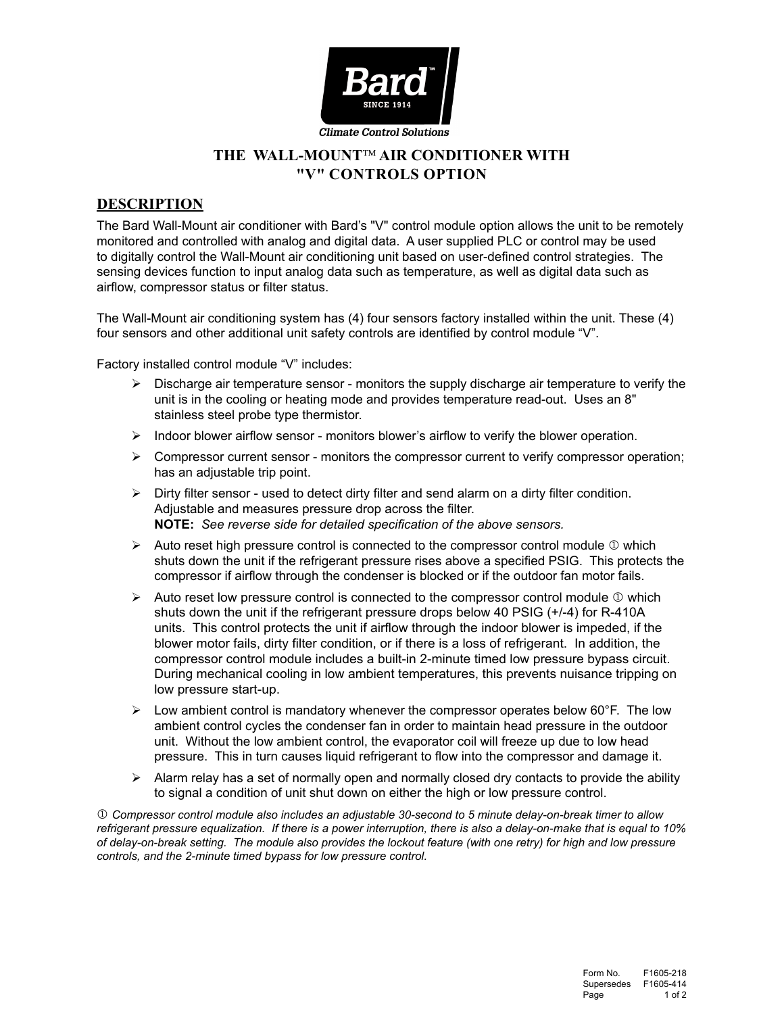

# THE WALL-MOUNT<sup>IM</sup> AIR CONDITIONER WITH **"V" CONTROLS OPTION**

## **DESCRIPTION**

The Bard Wall-Mount air conditioner with Bard's "V" control module option allows the unit to be remotely monitored and controlled with analog and digital data. A user supplied PLC or control may be used to digitally control the Wall-Mount air conditioning unit based on user-defined control strategies. The sensing devices function to input analog data such as temperature, as well as digital data such as airflow, compressor status or filter status.

The Wall-Mount air conditioning system has (4) four sensors factory installed within the unit. These (4) four sensors and other additional unit safety controls are identified by control module "V".

Factory installed control module "V" includes:

- Discharge air temperature sensor monitors the supply discharge air temperature to verify the unit is in the cooling or heating mode and provides temperature read-out. Uses an 8" stainless steel probe type thermistor.
- $\triangleright$  Indoor blower airflow sensor monitors blower's airflow to verify the blower operation.
- $\triangleright$  Compressor current sensor monitors the compressor current to verify compressor operation; has an adjustable trip point.
- $\triangleright$  Dirty filter sensor used to detect dirty filter and send alarm on a dirty filter condition. Adjustable and measures pressure drop across the filter. **NOTE:** *See reverse side for detailed specification of the above sensors.*
- $\triangleright$  Auto reset high pressure control is connected to the compressor control module  $\mathbb O$  which shuts down the unit if the refrigerant pressure rises above a specified PSIG. This protects the compressor if airflow through the condenser is blocked or if the outdoor fan motor fails.
- $\triangleright$  Auto reset low pressure control is connected to the compressor control module  $\mathbb O$  which shuts down the unit if the refrigerant pressure drops below 40 PSIG (+/-4) for R-410A units. This control protects the unit if airflow through the indoor blower is impeded, if the blower motor fails, dirty filter condition, or if there is a loss of refrigerant. In addition, the compressor control module includes a built-in 2-minute timed low pressure bypass circuit. During mechanical cooling in low ambient temperatures, this prevents nuisance tripping on low pressure start-up.
- $\triangleright$  Low ambient control is mandatory whenever the compressor operates below 60°F. The low ambient control cycles the condenser fan in order to maintain head pressure in the outdoor unit. Without the low ambient control, the evaporator coil will freeze up due to low head pressure. This in turn causes liquid refrigerant to flow into the compressor and damage it.
- $\triangleright$  Alarm relay has a set of normally open and normally closed dry contacts to provide the ability to signal a condition of unit shut down on either the high or low pressure control.

 *Compressor control module also includes an adjustable 30-second to 5 minute delay-on-break timer to allow refrigerant pressure equalization. If there is a power interruption, there is also a delay-on-make that is equal to 10% of delay-on-break setting. The module also provides the lockout feature (with one retry) for high and low pressure controls, and the 2-minute timed bypass for low pressure control.*